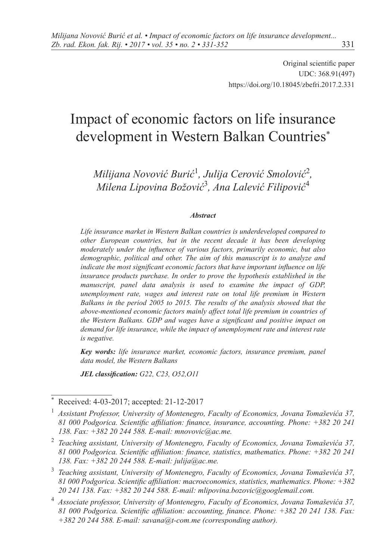Original scientific paper UDC: 368.91(497) <https://doi.org/10.18045/zbefri.2017.2.331>

# Impact of economic factors on life insurance development in Western Balkan Countries\*

*Milijana Novović Burić*<sup>1</sup> *, Julija Cerović Smolović*<sup>2</sup> *, Milena Lipovina Božović*<sup>3</sup> *, Ana Lalević Filipović*<sup>4</sup>

#### *Abstract*

*Life insurance market in Western Balkan countries is underdeveloped compared to other European countries, but in the recent decade it has been developing moderately under the influence of various factors, primarily economic, but also demographic, political and other. The aim of this manuscript is to analyze and indicate the most significant economic factors that have important influence on life insurance products purchase. In order to prove the hypothesis established in the manuscript, panel data analysis is used to examine the impact of GDP, unemployment rate, wages and interest rate on total life premium in Western Balkans in the period 2005 to 2015. The results of the analysis showed that the above-mentioned economic factors mainly affect total life premium in countries of the Western Balkans. GDP and wages have a significant and positive impact on demand for life insurance, while the impact of unemployment rate and interest rate is negative.*

*Key words: life insurance market, economic factors, insurance premium, panel data model, the Western Balkans*

*JEL classification: G22, C23, O52,O11*

Received: 4-03-2017; accepted: 21-12-2017

<sup>1</sup> *Assistant Professor, University of Montenegro, Faculty of Economics, Jovana Tomaševića 37, 81 000 Podgorica. Scientific affiliation: finance, insurance, accounting. Phone: +382 20 241 138. Fax: +382 20 244 588. E-mail: mnovovic@ac.me.*

<sup>2</sup> *Teaching assistant, University of Montenegro, Faculty of Economics, Jovana Tomaševića 37, 81 000 Podgorica. Scientific affiliation: finance, statistics, mathematics. Phone: +382 20 241 138. Fax: +382 20 244 588. E-mail: j[ulija@ac.me](mailto:julija@ac.me).*

<sup>3</sup> *Teaching assistant, University of Montenegro, Faculty of Economics, Jovana Tomaševića 37, 81 000 Podgorica. Scientific affiliation: macroeconomics, statistics, mathematics. Phone: +382 20 241 138. Fax: +382 20 244 588. E-mail: [mlipovina.bozovic@googlemail.com.](mailto:mlipovina.bozovic@googlemail.com)*

<sup>4</sup> *Associate professor, University of Montenegro, Faculty of Economics, Jovana Tomaševića 37, 81 000 Podgorica. Scientific affiliation: accounting, finance. Phone: +382 20 241 138. Fax: +382 20 244 588. E-mail: savana@t-com.me (corresponding author).*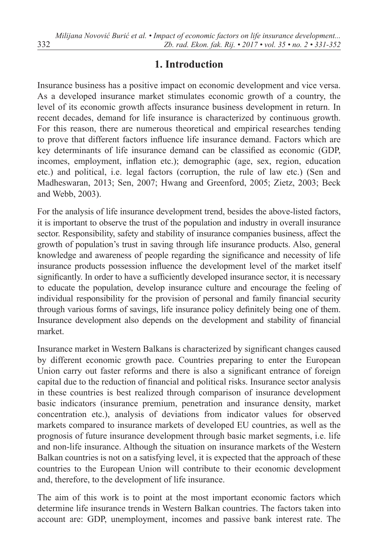### **1. Introduction**

Insurance business has a positive impact on economic development and vice versa. As a developed insurance market stimulates economic growth of a country, the level of its economic growth affects insurance business development in return. In recent decades, demand for life insurance is characterized by continuous growth. For this reason, there are numerous theoretical and empirical researches tending to prove that different factors influence life insurance demand. Factors which are key determinants of life insurance demand can be classified as economic (GDP, incomes, employment, inflation etc.); demographic (age, sex, region, education etc.) and political, i.e. legal factors (corruption, the rule of law etc.) (Sen and Madheswaran, 2013; Sen, 2007; Hwang and Greenford, 2005; Zietz, 2003; Beck and Webb, 2003).

For the analysis of life insurance development trend, besides the above-listed factors, it is important to observe the trust of the population and industry in overall insurance sector. Responsibility, safety and stability of insurance companies business, affect the growth of population's trust in saving through life insurance products. Also, general knowledge and awareness of people regarding the significance and necessity of life insurance products possession influence the development level of the market itself significantly. In order to have a sufficiently developed insurance sector, it is necessary to educate the population, develop insurance culture and encourage the feeling of individual responsibility for the provision of personal and family financial security through various forms of savings, life insurance policy definitely being one of them. Insurance development also depends on the development and stability of financial market.

Insurance market in Western Balkans is characterized by significant changes caused by different economic growth pace. Countries preparing to enter the European Union carry out faster reforms and there is also a significant entrance of foreign capital due to the reduction of financial and political risks. Insurance sector analysis in these countries is best realized through comparison of insurance development basic indicators (insurance premium, penetration and insurance density, market concentration etc.), analysis of deviations from indicator values for observed markets compared to insurance markets of developed EU countries, as well as the prognosis of future insurance development through basic market segments, i.e. life and non-life insurance. Although the situation on insurance markets of the Western Balkan countries is not on a satisfying level, it is expected that the approach of these countries to the European Union will contribute to their economic development and, therefore, to the development of life insurance.

The aim of this work is to point at the most important economic factors which determine life insurance trends in Western Balkan countries. The factors taken into account are: GDP, unemployment, incomes and passive bank interest rate. The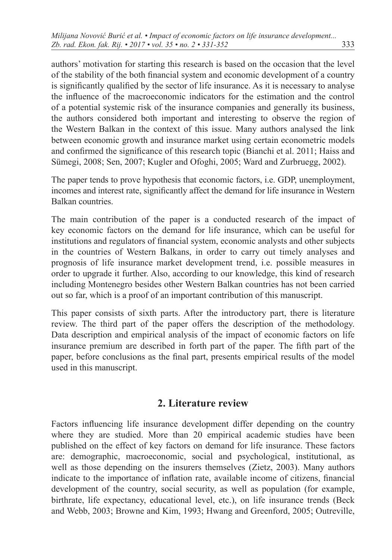authors' motivation for starting this research is based on the occasion that the level of the stability of the both financial system and economic development of a country is significantly qualified by the sector of life insurance. As it is necessary to analyse the influence of the macroeconomic indicators for the estimation and the control of a potential systemic risk of the insurance companies and generally its business, the authors considered both important and interesting to observe the region of the Western Balkan in the context of this issue. Many authors analysed the link between economic growth and insurance market using certain econometric models and confirmed the significance of this research topic (Bianchi et al. 2011; Haiss and Sümegi, 2008; Sen, 2007; Kugler and Ofoghi, 2005; Ward and Zurbruegg, 2002).

The paper tends to prove hypothesis that economic factors, i.e. GDP, unemployment, incomes and interest rate, significantly affect the demand for life insurance in Western Balkan countries.

The main contribution of the paper is a conducted research of the impact of key economic factors on the demand for life insurance, which can be useful for institutions and regulators of financial system, economic analysts and other subjects in the countries of Western Balkans, in order to carry out timely analyses and prognosis of life insurance market development trend, i.e. possible measures in order to upgrade it further. Also, according to our knowledge, this kind of research including Montenegro besides other Western Balkan countries has not been carried out so far, which is a proof of an important contribution of this manuscript.

This paper consists of sixth parts. After the introductory part, there is literature review. The third part of the paper offers the description of the methodology. Data description and empirical analysis of the impact of economic factors on life insurance premium are described in forth part of the paper. The fifth part of the paper, before conclusions as the final part, presents empirical results of the model used in this manuscript.

### **2. Literature review**

Factors influencing life insurance development differ depending on the country where they are studied. More than 20 empirical academic studies have been published on the effect of key factors on demand for life insurance. These factors are: demographic, macroeconomic, social and psychological, institutional, as well as those depending on the insurers themselves (Zietz, 2003). Many authors indicate to the importance of inflation rate, available income of citizens, financial development of the country, social security, as well as population (for example, birthrate, life expectancy, educational level, etc.), on life insurance trends (Beck and Webb, 2003; Browne and Kim, 1993; Hwang and Greenford, 2005; Outreville,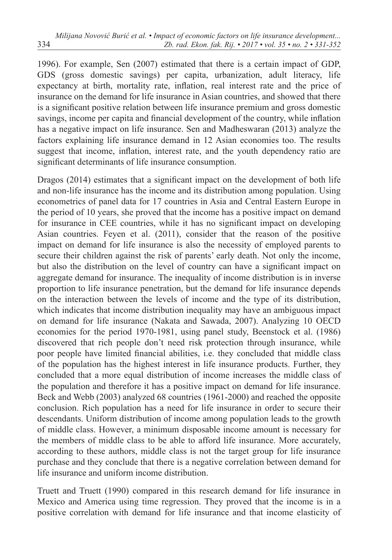1996). For example, Sen (2007) estimated that there is a certain impact of GDP, GDS (gross domestic savings) per capita, urbanization, adult literacy, life expectancy at birth, mortality rate, inflation, real interest rate and the price of insurance on the demand for life insurance in Asian countries, and showed that there is a significant positive relation between life insurance premium and gross domestic savings, income per capita and financial development of the country, while inflation has a negative impact on life insurance. Sen and Madheswaran (2013) analyze the factors explaining life insurance demand in 12 Asian economies too. The results suggest that income, inflation, interest rate, and the youth dependency ratio are significant determinants of life insurance consumption.

Dragos (2014) estimates that a significant impact on the development of both life and non-life insurance has the income and its distribution among population. Using econometrics of panel data for 17 countries in Asia and Central Eastern Europe in the period of 10 years, she proved that the income has a positive impact on demand for insurance in CEE countries, while it has no significant impact on developing Asian countries. Feyen et al. (2011), consider that the reason of the positive impact on demand for life insurance is also the necessity of employed parents to secure their children against the risk of parents' early death. Not only the income, but also the distribution on the level of country can have a significant impact on aggregate demand for insurance. The inequality of income distribution is in inverse proportion to life insurance penetration, but the demand for life insurance depends on the interaction between the levels of income and the type of its distribution, which indicates that income distribution inequality may have an ambiguous impact on demand for life insurance (Nakata and Sawada, 2007). Analyzing 10 OECD economies for the period 1970-1981, using panel study, Beenstock et al. (1986) discovered that rich people don't need risk protection through insurance, while poor people have limited financial abilities, i.e. they concluded that middle class of the population has the highest interest in life insurance products. Further, they concluded that a more equal distribution of income increases the middle class of the population and therefore it has a positive impact on demand for life insurance. Beck and Webb (2003) analyzed 68 countries (1961-2000) and reached the opposite conclusion. Rich population has a need for life insurance in order to secure their descendants. Uniform distribution of income among population leads to the growth of middle class. However, a minimum disposable income amount is necessary for the members of middle class to be able to afford life insurance. More accurately, according to these authors, middle class is not the target group for life insurance purchase and they conclude that there is a negative correlation between demand for life insurance and uniform income distribution.

Truett and Truett (1990) compared in this research demand for life insurance in Mexico and America using time regression. They proved that the income is in a positive correlation with demand for life insurance and that income elasticity of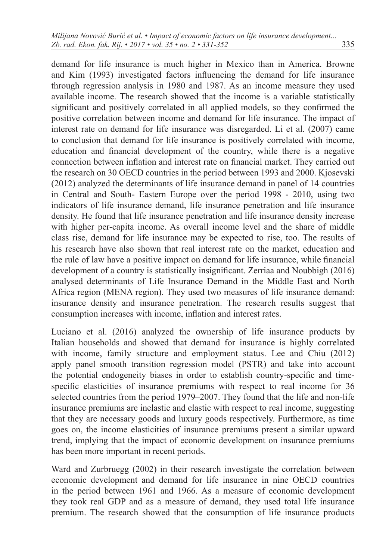demand for life insurance is much higher in Mexico than in America. Browne and Kim (1993) investigated factors influencing the demand for life insurance through regression analysis in 1980 and 1987. As an income measure they used available income. The research showed that the income is a variable statistically significant and positively correlated in all applied models, so they confirmed the positive correlation between income and demand for life insurance. The impact of interest rate on demand for life insurance was disregarded. Li et al. (2007) came to conclusion that demand for life insurance is positively correlated with income, education and financial development of the country, while there is a negative connection between inflation and interest rate on financial market. They carried out the research on 30 OECD countries in the period between 1993 and 2000. Kjosevski (2012) analyzed the determinants of life insurance demand in panel of 14 countries in Central and South- Eastern Europe over the period 1998 - 2010, using two indicators of life insurance demand, life insurance penetration and life insurance density. He found that life insurance penetration and life insurance density increase with higher per-capita income. As overall income level and the share of middle class rise, demand for life insurance may be expected to rise, too. The results of his research have also shown that real interest rate on the market, education and the rule of law have a positive impact on demand for life insurance, while financial development of a country is statistically insignificant. Zerriaa and Noubbigh (2016) analysed determinants of Life Insurance Demand in the Middle East and North Africa region (MENA region). They used two measures of life insurance demand: insurance density and insurance penetration. The research results suggest that consumption increases with income, inflation and interest rates.

Luciano et al. (2016) analyzed the ownership of life insurance products by Italian households and showed that demand for insurance is highly correlated with income, family structure and employment status. Lee and Chiu (2012) apply panel smooth transition regression model (PSTR) and take into account the potential endogeneity biases in order to establish country-specific and timespecific elasticities of insurance premiums with respect to real income for 36 selected countries from the period 1979–2007. They found that the life and non-life insurance premiums are inelastic and elastic with respect to real income, suggesting that they are necessary goods and luxury goods respectively. Furthermore, as time goes on, the income elasticities of insurance premiums present a similar upward trend, implying that the impact of economic development on insurance premiums has been more important in recent periods.

Ward and Zurbruegg (2002) in their research investigate the correlation between economic development and demand for life insurance in nine OECD countries in the period between 1961 and 1966. As a measure of economic development they took real GDP and as a measure of demand, they used total life insurance premium. The research showed that the consumption of life insurance products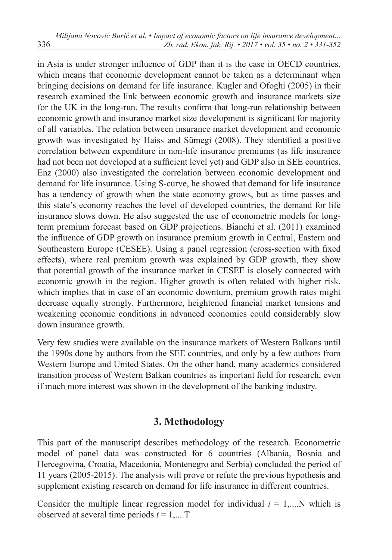in Asia is under stronger influence of GDP than it is the case in OECD countries, which means that economic development cannot be taken as a determinant when bringing decisions on demand for life insurance. Kugler and Ofoghi (2005) in their research examined the link between economic growth and insurance markets size for the UK in the long-run. The results confirm that long-run relationship between economic growth and insurance market size development is significant for majority of all variables. The relation between insurance market development and economic growth was investigated by Haiss and Sümegi (2008). They identified a positive correlation between expenditure in non-life insurance premiums (as life insurance had not been not developed at a sufficient level yet) and GDP also in SEE countries. Enz (2000) also investigated the correlation between economic development and demand for life insurance. Using S-curve, he showed that demand for life insurance has a tendency of growth when the state economy grows, but as time passes and this state's economy reaches the level of developed countries, the demand for life insurance slows down. He also suggested the use of econometric models for longterm premium forecast based on GDP projections. Bianchi et al. (2011) examined the influence of GDP growth on insurance premium growth in Central, Eastern and Southeastern Europe (CESEE). Using a panel regression (cross-section with fixed effects), where real premium growth was explained by GDP growth, they show that potential growth of the insurance market in CESEE is closely connected with economic growth in the region. Higher growth is often related with higher risk, which implies that in case of an economic downturn, premium growth rates might decrease equally strongly. Furthermore, heightened financial market tensions and weakening economic conditions in advanced economies could considerably slow down insurance growth.

Very few studies were available on the insurance markets of Western Balkans until the 1990s done by authors from the SEE countries, and only by a few authors from Western Europe and United States. On the other hand, many academics considered transition process of Western Balkan countries as important field for research, even if much more interest was shown in the development of the banking industry.

### **3. Methodology**

This part of the manuscript describes methodology of the research. Econometric model of panel data was constructed for 6 countries (Albania, Bosnia and Hercegovina, Croatia, Macedonia, Montenegro and Serbia) concluded the period of 11 years (2005-2015). The analysis will prove or refute the previous hypothesis and supplement existing research on demand for life insurance in different countries.

Consider the multiple linear regression model for individual  $i = 1,...N$  which is observed at several time periods *t* = 1,....T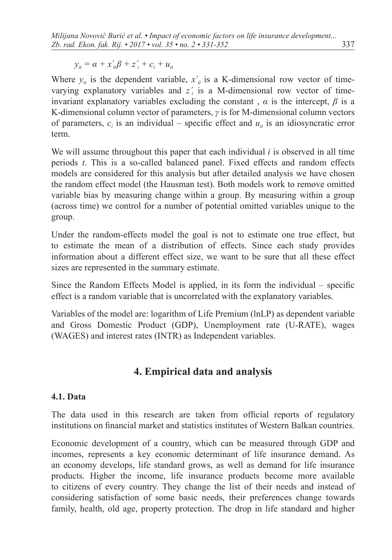$y_{it} = \alpha + x_{it}'\beta + z_{i}' + c_{i} + u_{it}$ 

Where  $y_{it}$  is the dependent variable,  $x'_{it}$  is a K-dimensional row vector of timevarying explanatory variables and *z΄<sup>i</sup>* is a M-dimensional row vector of timeinvariant explanatory variables excluding the constant,  $\alpha$  is the intercept,  $\beta$  is a K-dimensional column vector of parameters, *γ* is for M-dimensional column vectors of parameters,  $c_i$  is an individual – specific effect and  $u_i$  is an idiosyncratic error term.

We will assume throughout this paper that each individual *i* is observed in all time periods *t*. This is a so-called balanced panel. Fixed effects and random effects models are considered for this analysis but after detailed analysis we have chosen the random effect model (the Hausman test). Both models work to remove omitted variable bias by measuring change within a group. By measuring within a group (across time) we control for a number of potential omitted variables unique to the group.

Under the random-effects model the goal is not to estimate one true effect, but to estimate the mean of a distribution of effects. Since each study provides information about a different effect size, we want to be sure that all these effect sizes are represented in the summary estimate.

Since the Random Effects Model is applied, in its form the individual – specific effect is a random variable that is uncorrelated with the explanatory variables.

Variables of the model are: logarithm of Life Premium (lnLP) as dependent variable and Gross Domestic Product (GDP), Unemployment rate (U-RATE), wages (WAGES) and interest rates (INTR) as Independent variables.

# **4. Empirical data and analysis**

### **4.1. Data**

The data used in this research are taken from official reports of regulatory institutions on financial market and statistics institutes of Western Balkan countries.

Economic development of a country, which can be measured through GDP and incomes, represents a key economic determinant of life insurance demand. As an economy develops, life standard grows, as well as demand for life insurance products. Higher the income, life insurance products become more available to citizens of every country. They change the list of their needs and instead of considering satisfaction of some basic needs, their preferences change towards family, health, old age, property protection. The drop in life standard and higher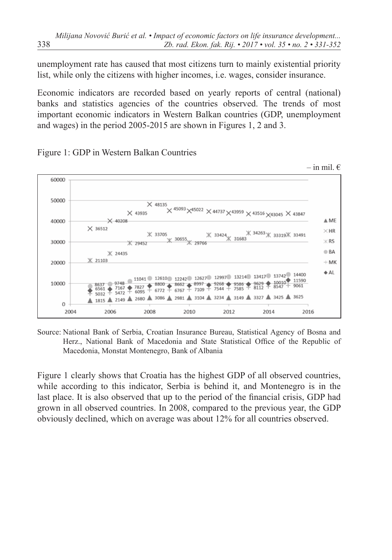unemployment rate has caused that most citizens turn to mainly existential priority list, while only the citizens with higher incomes, i.e. wages, consider insurance.

Economic indicators are recorded based on yearly reports of central (national) banks and statistics agencies of the countries observed. The trends of most important economic indicators in Western Balkan countries (GDP, unemployment and wages) in the period 2005-2015 are shown in Figures 1, 2 and 3.



Figure 1: GDP in Western Balkan Countries

Source: National Bank of Serbia, Croatian Insurance Bureau, Statistical Agency of Bosna and Herz., National Bank of Macedonia and State Statistical Office of the Republic of Macedonia, Monstat Montenegro, Bank of Albania

Figure 1 clearly shows that Croatia has the highest GDP of all observed countries, while according to this indicator, Serbia is behind it, and Montenegro is in the last place. It is also observed that up to the period of the financial crisis, GDP had grown in all observed countries. In 2008, compared to the previous year, the GDP obviously declined, which on average was about 12% for all countries observed.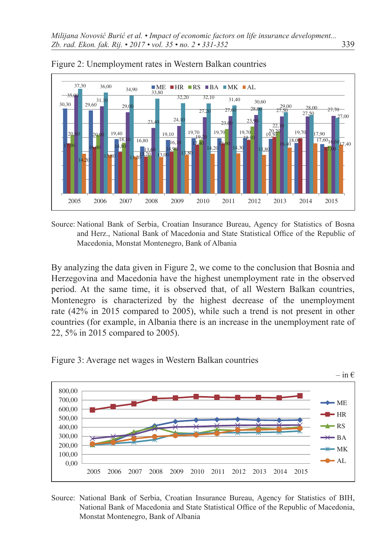



Source: National Bank of Serbia, Croatian Insurance Bureau, Agency for Statistics of Bosna and Herz., National Bank of Macedonia and State Statistical Office of the Republic of Macedonia, Monstat Montenegro, Bank of Albania

By analyzing the data given in Figure 2, we come to the conclusion that Bosnia and Herzegovina and Macedonia have the highest unemployment rate in the observed period. At the same time, it is observed that, of all Western Balkan countries, Montenegro is characterized by the highest decrease of the unemployment rate (42% in 2015 compared to 2005), while such a trend is not present in other countries (for example, in Albania there is an increase in the unemployment rate of 22, 5% in 2015 compared to 2005).





Source: National Bank of Serbia, Croatian Insurance Bureau, Agency for Statistics of BIH, National Bank of Macedonia and State Statistical Office of the Republic of Macedonia, Monstat Montenegro, Bank of Albania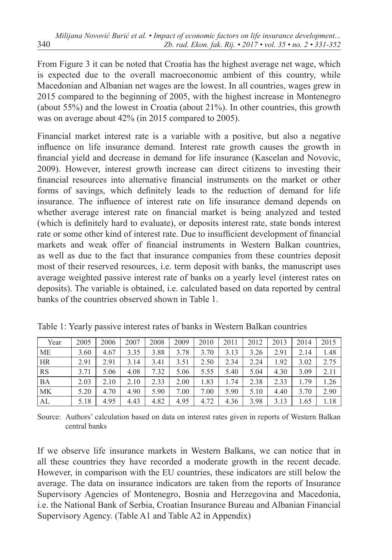From Figure 3 it can be noted that Croatia has the highest average net wage, which is expected due to the overall macroeconomic ambient of this country, while Macedonian and Albanian net wages are the lowest. In all countries, wages grew in 2015 compared to the beginning of 2005, with the highest increase in Montenegro (about 55%) and the lowest in Croatia (about 21%). In other countries, this growth was on average about 42% (in 2015 compared to 2005).

Financial market interest rate is a variable with a positive, but also a negative influence on life insurance demand. Interest rate growth causes the growth in financial yield and decrease in demand for life insurance (Kascelan and Novovic, 2009). However, interest growth increase can direct citizens to investing their financial resources into alternative financial instruments on the market or other forms of savings, which definitely leads to the reduction of demand for life insurance. The influence of interest rate on life insurance demand depends on whether average interest rate on financial market is being analyzed and tested (which is definitely hard to evaluate), or deposits interest rate, state bonds interest rate or some other kind of interest rate. Due to insufficient development of financial markets and weak offer of financial instruments in Western Balkan countries, as well as due to the fact that insurance companies from these countries deposit most of their reserved resources, i.e. term deposit with banks, the manuscript uses average weighted passive interest rate of banks on a yearly level (interest rates on deposits). The variable is obtained, i.e. calculated based on data reported by central banks of the countries observed shown in Table 1.

| Year      | 2005 | 2006 | 2007 | 2008 | 2009 | 2010 | 2011 | 2012 | 2013 | 2014 | 2015 |
|-----------|------|------|------|------|------|------|------|------|------|------|------|
| ME        | 3.60 | 4.67 | 3.35 | 3.88 | 3.78 | 3.70 | 3.13 | 3.26 | 2.91 | 2.14 | 1.48 |
| HR        | 2.91 | 2.91 | 3.14 | 3.41 | 3.51 | 2.50 | 2.34 | 2.24 | 1.92 | 3.02 | 2.75 |
| <b>RS</b> | 3.71 | 5.06 | 4.08 | 7.32 | 5.06 | 5.55 | 5.40 | 5.04 | 4.30 | 3.09 | 2.11 |
| <b>BA</b> | 2.03 | 2.10 | 2.10 | 2.33 | 2.00 | l.83 | 1.74 | 2.38 | 2.33 | 1.79 | 1.26 |
| МK        | 5.20 | 4.70 | 4.90 | 5.90 | 7.00 | 7.00 | 5.90 | 5.10 | 4.40 | 3.70 | 2.90 |
| AL        | 5.18 | 4.95 | 4.43 | 4.82 | 4.95 | 4.72 | 4.36 | 3.98 | 3.13 | 1.65 | 1.18 |

Table 1: Yearly passive interest rates of banks in Western Balkan countries

Source: Authors' calculation based on data on interest rates given in reports of Western Balkan central banks

If we observe life insurance markets in Western Balkans, we can notice that in all these countries they have recorded a moderate growth in the recent decade. However, in comparison with the EU countries, these indicators are still below the average. The data on insurance indicators are taken from the reports of Insurance Supervisory Agencies of Montenegro, Bosnia and Herzegovina and Macedonia, i.e. the National Bank of Serbia, Croatian Insurance Bureau and Albanian Financial Supervisory Agency. (Table A1 and Table A2 in Appendix)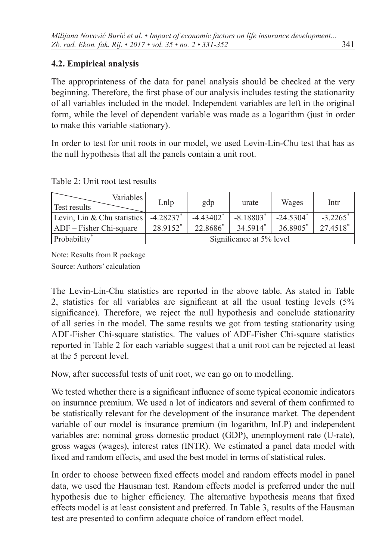### **4.2. Empirical analysis**

The appropriateness of the data for panel analysis should be checked at the very beginning. Therefore, the first phase of our analysis includes testing the stationarity of all variables included in the model. Independent variables are left in the original form, while the level of dependent variable was made as a logarithm (just in order to make this variable stationary).

In order to test for unit roots in our model, we used Levin-Lin-Chu test that has as the null hypothesis that all the panels contain a unit root.

| Variables  <br><b>Test results</b> | Lnlp                    | gdp                     | urate                    | Wages                   | Intr                   |
|------------------------------------|-------------------------|-------------------------|--------------------------|-------------------------|------------------------|
| Levin, Lin & Chu statistics        | $-4.28237$ <sup>*</sup> | $-4.43402$ <sup>*</sup> | $-8.18803*$              | $-24.5304$ <sup>*</sup> | $-3.2265$ <sup>*</sup> |
| $ ADF - Fisher Chi-square$         | 28.9152*                | 22.8686*                | $34.5914*$               | 36.8905*                | 27.4518                |
| Probability                        |                         |                         | Significance at 5% level |                         |                        |

Table 2: Unit root test results

Note: Results from R package Source: Authors' calculation

The Levin-Lin-Chu statistics are reported in the above table. As stated in Table 2, statistics for all variables are significant at all the usual testing levels (5% significance). Therefore, we reject the null hypothesis and conclude stationarity of all series in the model. The same results we got from testing stationarity using ADF-Fisher Chi-square statistics. The values of ADF-Fisher Chi-square statistics reported in Table 2 for each variable suggest that a unit root can be rejected at least at the 5 percent level.

Now, after successful tests of unit root, we can go on to modelling.

We tested whether there is a significant influence of some typical economic indicators on insurance premium. We used a lot of indicators and several of them confirmed to be statistically relevant for the development of the insurance market. The dependent variable of our model is insurance premium (in logarithm, lnLP) and independent variables are: nominal gross domestic product (GDP), unemployment rate (U-rate), gross wages (wages), interest rates (INTR). We estimated a panel data model with fixed and random effects, and used the best model in terms of statistical rules.

In order to choose between fixed effects model and random effects model in panel data, we used the Hausman test. Random effects model is preferred under the null hypothesis due to higher efficiency. The alternative hypothesis means that fixed effects model is at least consistent and preferred. In Table 3, results of the Hausman test are presented to confirm adequate choice of random effect model.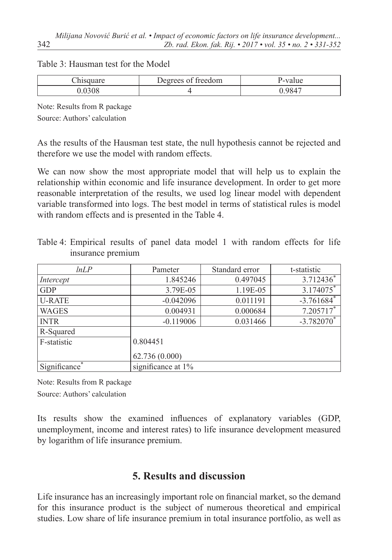#### Table 3: Hausman test for the Model

| Degrees of freedom | ''-value |
|--------------------|----------|
|                    | 0847     |

Note: Results from R package Source: Authors' calculation

As the results of the Hausman test state, the null hypothesis cannot be rejected and therefore we use the model with random effects.

We can now show the most appropriate model that will help us to explain the relationship within economic and life insurance development. In order to get more reasonable interpretation of the results, we used log linear model with dependent variable transformed into logs. The best model in terms of statistical rules is model with random effects and is presented in the Table 4.

| lnLP                      | Pameter            | Standard error | t-statistic              |  |  |  |
|---------------------------|--------------------|----------------|--------------------------|--|--|--|
| Intercept                 | 1.845246           | 0.497045       | $3.712436^*$             |  |  |  |
| <b>GDP</b>                | 3.79E-05           | 1.19E-05       | 3.174075*                |  |  |  |
| <b>U-RATE</b>             | $-0.042096$        | 0.011191       | $-3.761684$ <sup>*</sup> |  |  |  |
| <b>WAGES</b>              | 0.004931           | 0.000684       | $7.205717$ *             |  |  |  |
| <b>INTR</b>               | $-0.119006$        | 0.031466       | $-3.782070$ <sup>*</sup> |  |  |  |
| R-Squared                 |                    |                |                          |  |  |  |
| F-statistic               | 0.804451           |                |                          |  |  |  |
|                           | 62.736 (0.000)     |                |                          |  |  |  |
| Significance <sup>*</sup> | significance at 1% |                |                          |  |  |  |

Table 4: Empirical results of panel data model 1 with random effects for life insurance premium

Note: Results from R package Source: Authors' calculation

Its results show the examined influences of explanatory variables (GDP, unemployment, income and interest rates) to life insurance development measured by logarithm of life insurance premium.

# **5. Results and discussion**

Life insurance has an increasingly important role on financial market, so the demand for this insurance product is the subject of numerous theoretical and empirical studies. Low share of life insurance premium in total insurance portfolio, as well as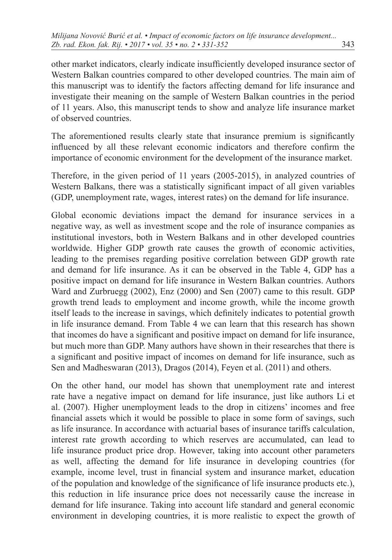other market indicators, clearly indicate insufficiently developed insurance sector of Western Balkan countries compared to other developed countries. The main aim of this manuscript was to identify the factors affecting demand for life insurance and investigate their meaning on the sample of Western Balkan countries in the period of 11 years. Also, this manuscript tends to show and analyze life insurance market of observed countries.

The aforementioned results clearly state that insurance premium is significantly influenced by all these relevant economic indicators and therefore confirm the importance of economic environment for the development of the insurance market.

Therefore, in the given period of 11 years (2005-2015), in analyzed countries of Western Balkans, there was a statistically significant impact of all given variables (GDP, unemployment rate, wages, interest rates) on the demand for life insurance.

Global economic deviations impact the demand for insurance services in a negative way, as well as investment scope and the role of insurance companies as institutional investors, both in Western Balkans and in other developed countries worldwide. Higher GDP growth rate causes the growth of economic activities, leading to the premises regarding positive correlation between GDP growth rate and demand for life insurance. As it can be observed in the Table 4, GDP has a positive impact on demand for life insurance in Western Balkan countries. Authors Ward and Zurbruegg (2002), Enz (2000) and Sen (2007) came to this result. GDP growth trend leads to employment and income growth, while the income growth itself leads to the increase in savings, which definitely indicates to potential growth in life insurance demand. From Table 4 we can learn that this research has shown that incomes do have a significant and positive impact on demand for life insurance, but much more than GDP. Many authors have shown in their researches that there is a significant and positive impact of incomes on demand for life insurance, such as Sen and Madheswaran (2013), Dragos (2014), Feyen et al. (2011) and others.

On the other hand, our model has shown that unemployment rate and interest rate have a negative impact on demand for life insurance, just like authors Li et al. (2007). Higher unemployment leads to the drop in citizens' incomes and free financial assets which it would be possible to place in some form of savings, such as life insurance. In accordance with actuarial bases of insurance tariffs calculation, interest rate growth according to which reserves are accumulated, can lead to life insurance product price drop. However, taking into account other parameters as well, affecting the demand for life insurance in developing countries (for example, income level, trust in financial system and insurance market, education of the population and knowledge of the significance of life insurance products etc.), this reduction in life insurance price does not necessarily cause the increase in demand for life insurance. Taking into account life standard and general economic environment in developing countries, it is more realistic to expect the growth of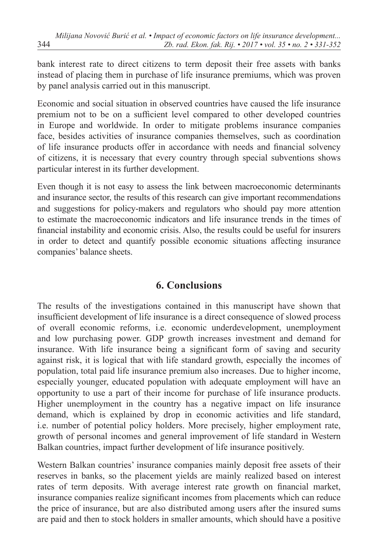bank interest rate to direct citizens to term deposit their free assets with banks instead of placing them in purchase of life insurance premiums, which was proven by panel analysis carried out in this manuscript.

Economic and social situation in observed countries have caused the life insurance premium not to be on a sufficient level compared to other developed countries in Europe and worldwide. In order to mitigate problems insurance companies face, besides activities of insurance companies themselves, such as coordination of life insurance products offer in accordance with needs and financial solvency of citizens, it is necessary that every country through special subventions shows particular interest in its further development.

Even though it is not easy to assess the link between macroeconomic determinants and insurance sector, the results of this research can give important recommendations and suggestions for policy-makers and regulators who should pay more attention to estimate the macroeconomic indicators and life insurance trends in the times of financial instability and economic crisis. Also, the results could be useful for insurers in order to detect and quantify possible economic situations affecting insurance companies' balance sheets.

## **6. Conclusions**

The results of the investigations contained in this manuscript have shown that insufficient development of life insurance is a direct consequence of slowed process of overall economic reforms, i.e. economic underdevelopment, unemployment and low purchasing power. GDP growth increases investment and demand for insurance. With life insurance being a significant form of saving and security against risk, it is logical that with life standard growth, especially the incomes of population, total paid life insurance premium also increases. Due to higher income, especially younger, educated population with adequate employment will have an opportunity to use a part of their income for purchase of life insurance products. Higher unemployment in the country has a negative impact on life insurance demand, which is explained by drop in economic activities and life standard, i.e. number of potential policy holders. More precisely, higher employment rate, growth of personal incomes and general improvement of life standard in Western Balkan countries, impact further development of life insurance positively.

Western Balkan countries' insurance companies mainly deposit free assets of their reserves in banks, so the placement yields are mainly realized based on interest rates of term deposits. With average interest rate growth on financial market, insurance companies realize significant incomes from placements which can reduce the price of insurance, but are also distributed among users after the insured sums are paid and then to stock holders in smaller amounts, which should have a positive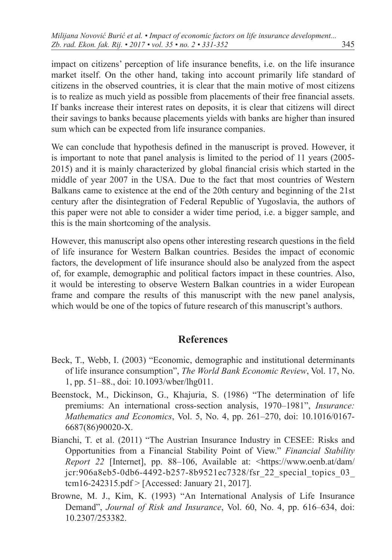impact on citizens' perception of life insurance benefits, i.e. on the life insurance market itself. On the other hand, taking into account primarily life standard of citizens in the observed countries, it is clear that the main motive of most citizens is to realize as much yield as possible from placements of their free financial assets. If banks increase their interest rates on deposits, it is clear that citizens will direct their savings to banks because placements yields with banks are higher than insured sum which can be expected from life insurance companies.

We can conclude that hypothesis defined in the manuscript is proved. However, it is important to note that panel analysis is limited to the period of 11 years (2005- 2015) and it is mainly characterized by global financial crisis which started in the middle of year 2007 in the USA. Due to the fact that most countries of Western Balkans came to existence at the end of the 20th century and beginning of the 21st century after the disintegration of Federal Republic of Yugoslavia, the authors of this paper were not able to consider a wider time period, i.e. a bigger sample, and this is the main shortcoming of the analysis.

However, this manuscript also opens other interesting research questions in the field of life insurance for Western Balkan countries. Besides the impact of economic factors, the development of life insurance should also be analyzed from the aspect of, for example, demographic and political factors impact in these countries. Also, it would be interesting to observe Western Balkan countries in a wider European frame and compare the results of this manuscript with the new panel analysis, which would be one of the topics of future research of this manuscript's authors.

### **References**

- Beck, T., Webb, I. (2003) "Economic, demographic and institutional determinants of life insurance consumption", *The World Bank Economic Review*, Vol. 17, No. 1, pp. 51–88., doi: [10.1093/wber/lhg011](https://doi.org/10.1093/wber/lhg011).
- Beenstock, M., Dickinson, G., Khajuria, S. (1986) "The determination of life premiums: An international cross-section analysis, 1970–1981", *Insurance: Mathematics and Economics*, Vol. 5, No. 4, pp. 261–270, doi: [10.1016/0167-](https://doi.org/10.1016/0167-6687(86)90020-X) [6687\(86\)90020-X.](https://doi.org/10.1016/0167-6687(86)90020-X)
- Bianchi, T. et al. (2011) "The Austrian Insurance Industry in CESEE: Risks and Opportunities from a Financial Stability Point of View." *Financial Stability Report 22* [Internet], pp. 88–106, Available at: [<https://www.oenb.at/dam/](https://www.oenb.at/dam/jcr:906a8eb5-0db6-4492-b257-8b9521ec7328/fsr_22_special_topics_03_tcm16-242315.pdf ) [jcr:906a8eb5-0db6-4492-b257-8b9521ec7328/fsr\\_22\\_special\\_topics\\_03\\_](https://www.oenb.at/dam/jcr:906a8eb5-0db6-4492-b257-8b9521ec7328/fsr_22_special_topics_03_tcm16-242315.pdf ) [tcm16-242315.pdf >](https://www.oenb.at/dam/jcr:906a8eb5-0db6-4492-b257-8b9521ec7328/fsr_22_special_topics_03_tcm16-242315.pdf ) [Accessed: January 21, 2017].
- Browne, M. J., Kim, K. (1993) "An International Analysis of Life Insurance Demand", *Journal of Risk and Insurance*, Vol. 60, No. 4, pp. 616–634, doi: [10.2307/253382](https://doi.org/10.2307/253382).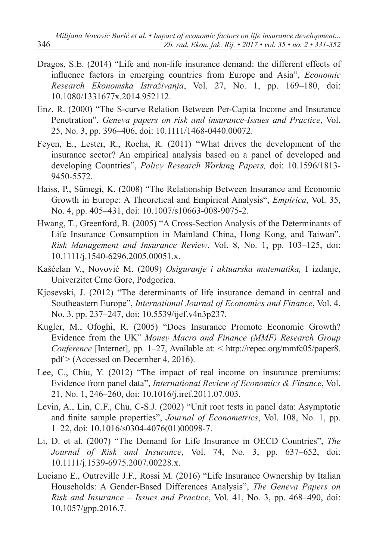- Dragos, S.E. (2014) "Life and non-life insurance demand: the different effects of influence factors in emerging countries from Europe and Asia", *Economic Research Ekonomska Istraživanja*, Vol. 27, No. 1, pp. 169–180, doi: [10.1080/1331677x.2014.952112](https://doi.org/10.1080/1331677x.2014.952112).
- Enz, R. (2000) "The S-curve Relation Between Per-Capita Income and Insurance Penetration", *Geneva papers on risk and insurance-Issues and Practice*, Vol. 25, No. 3, pp. 396–406, doi: [10.1111/1468-0440.00072](https://doi.org/10.1111/1468-0440.00072).
- Feyen, E., Lester, R., Rocha, R. (2011) "What drives the development of the insurance sector? An empirical analysis based on a panel of developed and developing Countries", *Policy Research Working Papers,* doi: [10.1596/1813-](https://doi.org/10.1596/1813-9450-5572) [9450-5572](https://doi.org/10.1596/1813-9450-5572).
- Haiss, P., Sümegi, K. (2008) "The Relationship Between Insurance and Economic Growth in Europe: A Theoretical and Empirical Analysis", *Empirica*, Vol. 35, No. 4, pp. 405–431, doi: [10.1007/s10663-008-9075-2](https://doi.org/10.1007/s10663-008-9075-2).
- Hwang, T., Greenford, B. (2005) "A Cross-Section Analysis of the Determinants of Life Insurance Consumption in Mainland China, Hong Kong, and Taiwan", *Risk Management and Insurance Review*, Vol. 8, No. 1, pp. 103–125, doi: 10.1111/j.1540-6296.2005.00051.x.
- Kašćelan V., Novović M. (2009) *Osiguranje i aktuarska matematika,* I izdanje, Univerzitet Crne Gore, Podgorica.
- Kjosevski, J. (2012) "The determinants of life insurance demand in central and Southeastern Europe", *International Journal of Economics and Finance*, Vol. 4, No. 3, pp. 237–247, doi: [10.5539/ijef.v4n3p237](https://doi.org/10.5539/ijef.v4n3p237).
- Kugler, M., Ofoghi, R. (2005) "Does Insurance Promote Economic Growth? Evidence from the UK" *Money Macro and Finance (MMF) Research Group Conference* [Internet], pp. 1–27, Available at: < [http://repec.org/mmfc05/paper8.](http://repec.org/mmfc05/paper8.pdf) [pdf](http://repec.org/mmfc05/paper8.pdf) > (Accessed on December 4, 2016).
- Lee, C., Chiu, Y. (2012) "The impact of real income on insurance premiums: Evidence from panel data", *International Review of Economics & Finance*, Vol. 21, No. 1, 246–260, doi: [10.1016/j.iref.2011.07.003](https://doi.org/10.1016/j.iref.2011.07.003).
- Levin, A., Lin, C.F., Chu, C-S.J. (2002) "Unit root tests in panel data: Asymptotic and finite sample properties", *Journal of Econometrics*, Vol. 108, No. 1, pp. 1–22, doi: [10.1016/s0304-4076\(01\)00098-7](https://doi.org/10.1016/s0304-4076(01)00098-7).
- Li, D. et al. (2007) "The Demand for Life Insurance in OECD Countries", *The Journal of Risk and Insurance*, Vol. 74, No. 3, pp. 637–652, doi: [10.1111/j.1539-6975.2007.00228.x](https://doi.org/10.1111/j.1539-6975.2007.00228.x).
- Luciano E., Outreville J.F., Rossi M. (2016) "Life Insurance Ownership by Italian Households: A Gender-Based Differences Analysis", *The Geneva Papers on Risk and Insurance – Issues and Practice*, Vol. 41, No. 3, pp. 468–490, doi: [10.1057/gpp.2016.7](https://doi.org/10.1057/gpp.2016.7).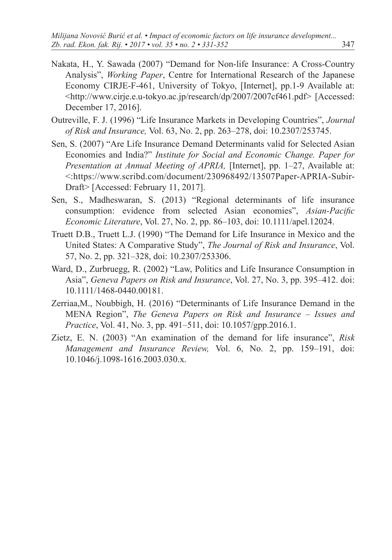- Nakata, H., Y. Sawada (2007) "Demand for Non-life Insurance: A Cross-Country Analysis", *Working Paper*, Centre for International Research of the Japanese Economy CIRJE-F-461, University of Tokyo, [Internet], pp.1-9 Available at: <http://www.cirje.e.u-tokyo.ac.jp/research/dp/2007/2007cf461.pdf> [Accessed: December 17, 2016].
- Outreville, F. J. (1996) "Life Insurance Markets in Developing Countries", *Journal of Risk and Insurance,* Vol. 63, No. 2, pp. 263–278, doi: [10.2307/253745](https://doi.org/10.2307/253745).
- Sen, S. (2007) "Are Life Insurance Demand Determinants valid for Selected Asian Economies and India?" *Institute for Social and Economic Change. Paper for Presentation at Annual Meeting of APRIA,* [Internet], pp. 1–27, Available at: <:[https://www.scribd.com/document/230968492/13507Paper-APRIA-Subir-](https://www.scribd.com/document/230968492/13507Paper-APRIA-Subir-Draft)[Draft>](https://www.scribd.com/document/230968492/13507Paper-APRIA-Subir-Draft) [Accessed: February 11, 2017].
- Sen, S., Madheswaran, S. (2013) "Regional determinants of life insurance consumption: evidence from selected Asian economies", *Asian-Pacific Economic Literature*, Vol. 27, No. 2, pp. 86–103, doi: [10.1111/apel.12024](https://doi.org/10.1111/apel.12024).
- Truett D.B., Truett L.J. (1990) "The Demand for Life Insurance in Mexico and the United States: A Comparative Study", *The Journal of Risk and Insurance*, Vol. 57, No. 2, pp. 321–328, doi: [10.2307/253306](https://doi.org/10.2307/253306).
- Ward, D., Zurbruegg, R. (2002) "Law, Politics and Life Insurance Consumption in Asia", *Geneva Papers on Risk and Insurance*, Vol. 27, No. 3, pp. 395–412. doi: [10.1111/1468-0440.00181](https://doi.org/10.1111/1468-0440.00181).
- Zerriaa,M., Noubbigh, H. (2016) "Determinants of Life Insurance Demand in the MENA Region", *The Geneva Papers on Risk and Insurance* – *Issues and Practice*, Vol. 41, No. 3, pp. 491–511, doi: [10.1057/gpp.2016.1](https://doi.org/10.1057/gpp.2016.1).
- Zietz, E. N. (2003) "An examination of the demand for life insurance", *Risk Management and Insurance Review,* Vol. 6, No. 2, pp. 159–191, doi: [10.1046/j.1098-1616.2003.030.x](https://doi.org/10.1046/j.1098-1616.2003.030.x).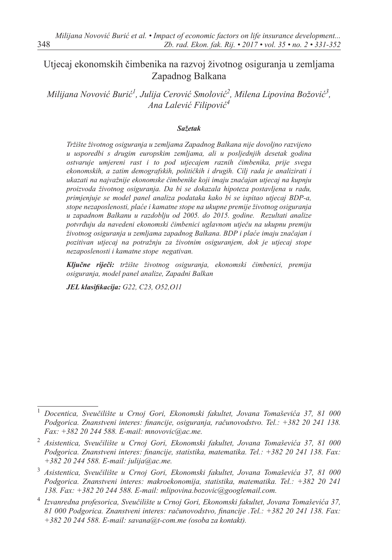## Utjecaj ekonomskih čimbenika na razvoj životnog osiguranja u zemljama Zapadnog Balkana

Milijana Novović Burić<sup>1</sup>, Julija Cerović Smolović<sup>2</sup>, Milena Lipovina Božović<sup>3</sup>, *Ana Lalević Filipović4*

#### *Sažetak*

*Tržište životnog osiguranja u zemljama Zapadnog Balkana nije dovoljno razvijeno u usporedbi s drugim europskim zemljama, ali u posljednjih desetak godina ostvaruje umjereni rast i to pod utjecajem raznih čimbenika, prije svega ekonomskih, a zatim demografskih, političkih i drugih. Cilj rada je analizirati i ukazati na najvažnije ekonomske čimbenike koji imaju značajan utjecaj na kupnju proizvoda životnog osiguranja. Da bi se dokazala hipoteza postavljena u radu, primjenjuje se model panel analiza podataka kako bi se ispitao utjecaj BDP-a, stope nezaposlenosti, plaće i kamatne stope na ukupne premije životnog osiguranja u zapadnom Balkanu u razdoblju od 2005. do 2015. godine. Rezultati analize potvrđuju da navedeni ekonomski čimbenici uglavnom utječu na ukupnu premiju životnog osiguranja u zemljama zapadnog Balkana. BDP i plaće imaju značajan i pozitivan utjecaj na potražnju za životnim osiguranjem, dok je utjecaj stope nezaposlenosti i kamatne stope negativan.*

*Ključne riječi: tržište životnog osiguranja, ekonomski čimbenici, premija osiguranja, model panel analize, Zapadni Balkan*

*JEL klasifikacija: G22, C23, O52,O11* 

<sup>1</sup> *Docentica, Sveučilište u Crnoj Gori, Ekonomski fakultet, Jovana Tomaševića 37, 81 000 Podgorica. Znanstveni interes: financije, osiguranja, računovodstvo. Tel.: +382 20 241 138. Fax: +382 20 244 588. E-mail: mnovovic@ac.me.*

<sup>2</sup> *Asistentica, Sveučilište u Crnoj Gori, Ekonomski fakultet, Jovana Tomaševića 37, 81 000 Podgorica. Znanstveni interes: financije, statistika, matematika. Tel.: +382 20 241 138. Fax: +382 20 244 588. E-mail: [julija@ac.me](mailto:julija@ac.me).*

<sup>3</sup> *Asistentica, Sveučilište u Crnoj Gori, Ekonomski fakultet, Jovana Tomaševića 37, 81 000 Podgorica. Znanstveni interes: makroekonomija, statistika, matematika. Tel.: +382 20 241 138. Fax: +382 20 244 588. E-mail: m[lipovina.bozovic@googlemail.com](mailto:mlipovina.bozovic@googlemail.com).*

<sup>4</sup> *Izvanredna profesorica, Sveučilište u Crnoj Gori, Ekonomski fakultet, Jovana Tomaševića 37, 81 000 Podgorica. Znanstveni interes: računovodstvo, financije .Tel.: +382 20 241 138. Fax: +382 20 244 588. E-mail: savana@t-com.me (osoba za kontakt).*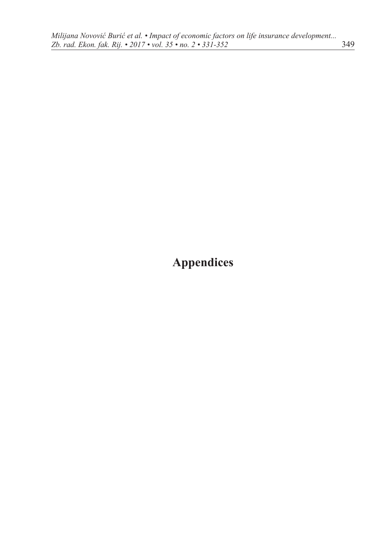# **Appendices**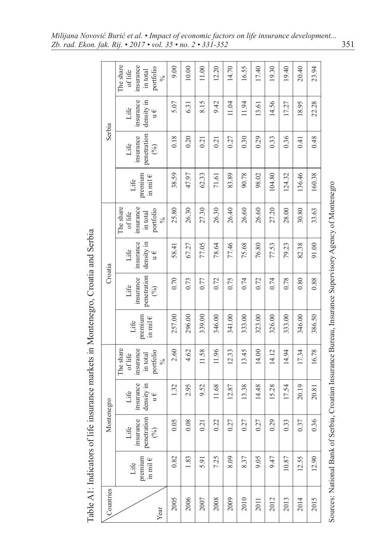|           |                                 |                                                                         |                                                       |                                                                            |                                 | Table A1: Indicators of life insurance markets in Montenegro, Croatia and Serbia |                                                       |                                                                             |                                 |                                         |                                                       |                                                                            |
|-----------|---------------------------------|-------------------------------------------------------------------------|-------------------------------------------------------|----------------------------------------------------------------------------|---------------------------------|----------------------------------------------------------------------------------|-------------------------------------------------------|-----------------------------------------------------------------------------|---------------------------------|-----------------------------------------|-------------------------------------------------------|----------------------------------------------------------------------------|
| Countries |                                 |                                                                         | Montenegro                                            |                                                                            |                                 | Croatia                                                                          |                                                       |                                                                             |                                 | Serbia                                  |                                                       |                                                                            |
| Year      | premium<br>in mil $\in$<br>Life | penetration<br>$\begin{pmatrix} 0/6 \end{pmatrix}$<br>insurance<br>Life | insurance<br>density in<br>Life<br>$\mathfrak{u} \in$ | The share<br>insurance<br>portfolio<br>in total<br>oflife<br>$\frac{6}{6}$ | premium<br>in mil $\in$<br>Life | penetration<br>insurance<br>Life<br>$(\%)$                                       | density in<br>insurance<br>Life<br>$\mathfrak{u} \in$ | The share<br>insurance<br>portfolio<br>in total<br>of life<br>$\frac{5}{6}$ | premium<br>in mil $\in$<br>Life | penetration<br>insurance<br>Life<br>(%) | insurance<br>density in<br>Life<br>$\mathfrak{u} \in$ | The share<br>insurance<br>portfolio<br>in total<br>oflife<br>$\frac{6}{6}$ |
| 2005      | 0.82                            | 0.05                                                                    | 1.32                                                  | 2.60                                                                       | 257.00                          | 0.70                                                                             | 58.41                                                 | 25.80                                                                       | 38.59                           | 0.18                                    | 5.07                                                  | 00 <sub>6</sub>                                                            |
| 2006      | 1.83                            | 0.08                                                                    | 2.95                                                  | 4.62                                                                       | 296.00                          | 0.73                                                                             | 67.27                                                 | 26.30                                                                       | 47.97                           | 0.20                                    | 6.31                                                  | 10.00                                                                      |
| 2007      | 5.91                            | 0.21                                                                    | 9.52                                                  | 11.58                                                                      | 339.00                          | 0.77                                                                             | 77.05                                                 | 27.30                                                                       | 62.33                           | 0.21                                    | 8.15                                                  | $11.00$                                                                    |
| 2008      | 7.25                            | 0.22                                                                    | 11.68                                                 | 11.96                                                                      | 346.00                          | 0.72                                                                             | 78.64                                                 | 26.30                                                                       | 71.61                           | 0.21                                    | 9.42                                                  | 12.20                                                                      |
| 2009      | 8.09                            | 0.27                                                                    | 12.87                                                 | 12.33                                                                      | 341.00                          | 0.75                                                                             | 77.46                                                 | 26.40                                                                       | 83.89                           | 0.27                                    | 11.04                                                 | 14.70                                                                      |
| 2010      | 8.37                            | 0.27                                                                    | 13.38                                                 | 13.45                                                                      | 333.00                          | 0.74                                                                             | 75.68                                                 | 26.60                                                                       | 90.78                           | 0.30                                    | 11.94                                                 | 16.55                                                                      |
| 2011      | 9.05                            | 0.27                                                                    | 14.48                                                 | 14.00                                                                      | 323.00                          | 0.72                                                                             | 76.80                                                 | 26.60                                                                       | 98.02                           | 0.29                                    | 13.61                                                 | 17.40                                                                      |
| 2012      | 9.47                            | 0.29                                                                    | 15.28                                                 | 14.12                                                                      | 326.00                          | 0.74                                                                             | 77.53                                                 | 27.20                                                                       | 104.80                          | 0.33                                    | 14.56                                                 | 19.30                                                                      |
| 2013      | 10.87                           | 0.33                                                                    | 17.54                                                 | 14.94                                                                      | 333.00                          | 0.78                                                                             | 79.23                                                 | 28.00                                                                       | 124.32                          | 0.36                                    | 17.27                                                 | 19.40                                                                      |
| 2014      | 12.55                           | 0.37                                                                    | 20.19                                                 | 17.34                                                                      | 346.00                          | 0.80                                                                             | 82.38                                                 | 30.80                                                                       | 136.46                          | 0.41                                    | 18.95                                                 | 20.40                                                                      |
| 2015      | 12.90                           | 0.36                                                                    | 20.81                                                 | 16.78                                                                      | 386.50                          | 0.88                                                                             | 91.00                                                 | 33.63                                                                       | 160.38                          | 0.48                                    | 22.28                                                 | 23.94                                                                      |
|           | Sources: National Bank of S     |                                                                         |                                                       |                                                                            |                                 | erbia, Croatian Insurance Bureau, Insurance Supervisory Agency of Montenegro     |                                                       |                                                                             |                                 |                                         |                                                       |                                                                            |

Table A1: Indicators of life insurance markets in Montenegro, Croatia and Serbia

*Milijana Novović Burić et al. • Impact of economic factors on life insurance development... Zb. rad. Ekon. fak. Rij. • 2017 • vol. 35 • no. 2 • 331-352* 351